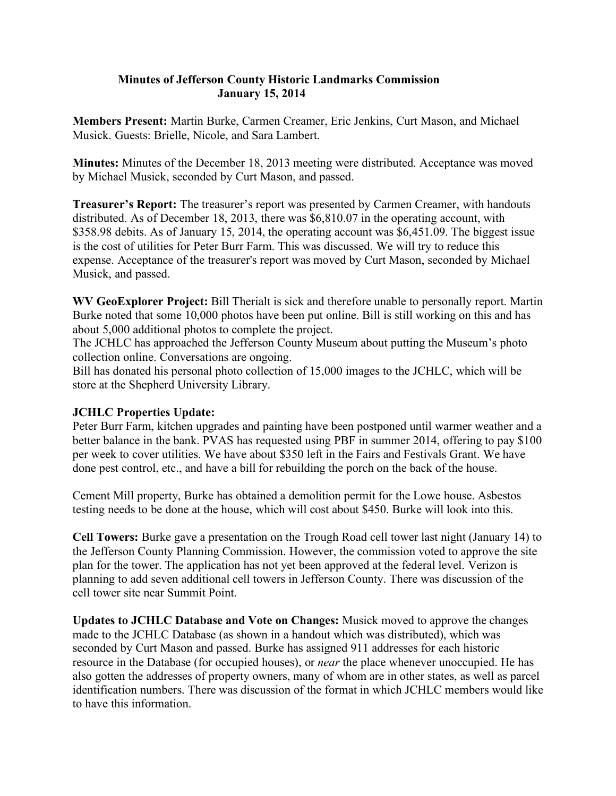## **Minutes of Jefferson County Historic Landmarks Commission January 15, 2014**

**Members Present:** Martin Burke, Carmen Creamer, Eric Jenkins, Curt Mason, and Michael Musick. Guests: Brielle, Nicole, and Sara Lambert.

**Minutes:** Minutes of the December 18, 2013 meeting were distributed. Acceptance was moved by Michael Musick, seconded by Curt Mason, and passed.

**Treasurer's Report:** The treasurer's report was presented by Carmen Creamer, with handouts distributed. As of December 18, 2013, there was \$6,810.07 in the operating account, with \$358.98 debits. As of January 15, 2014, the operating account was \$6,451.09. The biggest issue is the cost of utilities for Peter Burr Farm. This was discussed. We will try to reduce this expense. Acceptance of the treasurer's report was moved by Curt Mason, seconded by Michael Musick, and passed.

**WV GeoExplorer Project:** Bill Therialt is sick and therefore unable to personally report. Martin Burke noted that some 10,000 photos have been put online. Bill is still working on this and has about 5,000 additional photos to complete the project.

The JCHLC has approached the Jefferson County Museum about putting the Museum's photo collection online. Conversations are ongoing.

Bill has donated his personal photo collection of 15,000 images to the JCHLC, which will be store at the Shepherd University Library.

## **JCHLC Properties Update:**

Peter Burr Farm, kitchen upgrades and painting have been postponed until warmer weather and a better balance in the bank. PVAS has requested using PBF in summer 2014, offering to pay \$100 per week to cover utilities. We have about \$350 left in the Fairs and Festivals Grant. We have done pest control, etc., and have a bill for rebuilding the porch on the back of the house.

Cement Mill property, Burke has obtained a demolition permit for the Lowe house. Asbestos testing needs to be done at the house, which will cost about \$450. Burke will look into this.

**Cell Towers:** Burke gave a presentation on the Trough Road cell tower last night (January 14) to the Jefferson County Planning Commission. However, the commission voted to approve the site plan for the tower. The application has not yet been approved at the federal level. Verizon is planning to add seven additional cell towers in Jefferson County. There was discussion of the cell tower site near Summit Point.

**Updates to JCHLC Database and Vote on Changes:** Musick moved to approve the changes made to the JCHLC Database (as shown in a handout which was distributed), which was seconded by Curt Mason and passed. Burke has assigned 911 addresses for each historic resource in the Database (for occupied houses), or *near* the place whenever unoccupied. He has also gotten the addresses of property owners, many of whom are in other states, as well as parcel identification numbers. There was discussion of the format in which JCHLC members would like to have this information.